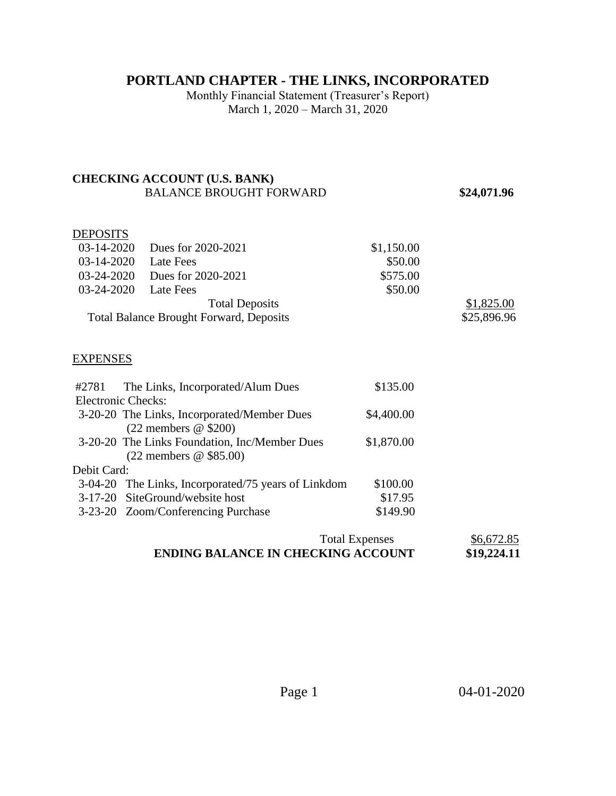# **PORTLAND CHAPTER - THE LINKS, INCORPORATED**

Monthly Financial Statement (Treasurer's Report) March 1, 2020 – March 31, 2020

## **CHECKING ACCOUNT (U.S. BANK)**  BALANCE BROUGHT FORWARD **\$24,071.96**

# **DEPOSITS**

|                                                | 03-14-2020 Dues for 2020-2021 | \$1,150.00 |             |
|------------------------------------------------|-------------------------------|------------|-------------|
| $03-14-2020$                                   | Late Fees                     | \$50.00    |             |
| 03-24-2020                                     | Dues for 2020-2021            | \$575.00   |             |
| 03-24-2020                                     | Late Fees                     | \$50.00    |             |
|                                                | <b>Total Deposits</b>         |            | \$1,825.00  |
| <b>Total Balance Brought Forward, Deposits</b> |                               |            | \$25,896.96 |
|                                                |                               |            |             |

#### **EXPENSES**

| #2781                     | The Links, Incorporated/Alum Dues                   | \$135.00   |  |
|---------------------------|-----------------------------------------------------|------------|--|
| <b>Electronic Checks:</b> |                                                     |            |  |
|                           | 3-20-20 The Links, Incorporated/Member Dues         | \$4,400.00 |  |
|                           | $(22$ members @ \$200)                              |            |  |
|                           | 3-20-20 The Links Foundation, Inc/Member Dues       | \$1,870.00 |  |
|                           | $(22$ members @ \$85.00)                            |            |  |
| Debit Card:               |                                                     |            |  |
|                           | 3-04-20 The Links, Incorporated/75 years of Linkdom | \$100.00   |  |
|                           | 3-17-20 SiteGround/website host                     | \$17.95    |  |
|                           | 3-23-20 Zoom/Conferencing Purchase                  | \$149.90   |  |
|                           |                                                     |            |  |

| <b>Total Expenses</b>                     | \$6,672.85  |
|-------------------------------------------|-------------|
| <b>ENDING BALANCE IN CHECKING ACCOUNT</b> | \$19,224.11 |